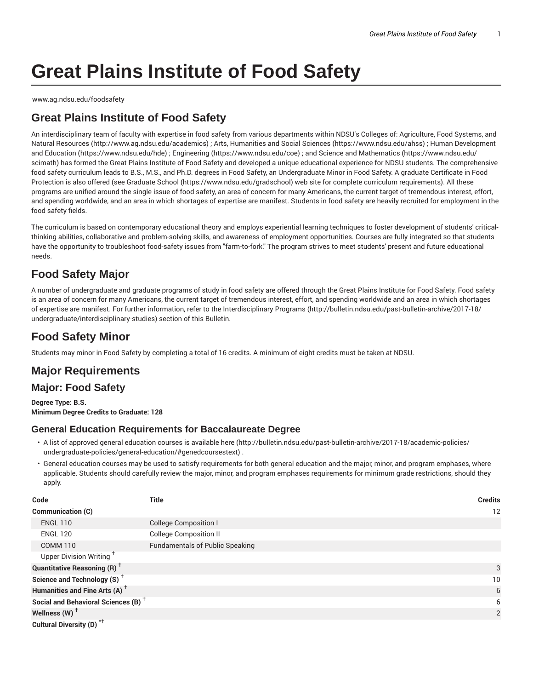# **Great Plains Institute of Food Safety**

www.ag.ndsu.edu/foodsafety

# **Great Plains Institute of Food Safety**

An interdisciplinary team of faculty with expertise in food safety from various departments within NDSU's Colleges of: Agriculture, Food Systems, and Natural Resources (http://www.ag.ndsu.edu/academics) ; Arts, Humanities and Social Sciences (https://www.ndsu.edu/ahss) ; Human Development and Education (https://www.ndsu.edu/hde) ; Engineering (https://www.ndsu.edu/coe) ; and Science and Mathematics (https://www.ndsu.edu/ scimath) has formed the Great Plains Institute of Food Safety and developed a unique educational experience for NDSU students. The comprehensive food safety curriculum leads to B.S., M.S., and Ph.D. degrees in Food Safety, an Undergraduate Minor in Food Safety. A graduate Certificate in Food Protection is also offered (see Graduate School (https://www.ndsu.edu/gradschool) web site for complete curriculum requirements). All these programs are unified around the single issue of food safety, an area of concern for many Americans, the current target of tremendous interest, effort, and spending worldwide, and an area in which shortages of expertise are manifest. Students in food safety are heavily recruited for employment in the food safety fields.

The curriculum is based on contemporary educational theory and employs experiential learning techniques to foster development of students' criticalthinking abilities, collaborative and problem-solving skills, and awareness of employment opportunities. Courses are fully integrated so that students have the opportunity to troubleshoot food-safety issues from "farm-to-fork." The program strives to meet students' present and future educational needs.

## **Food Safety Major**

A number of undergraduate and graduate programs of study in food safety are offered through the Great Plains Institute for Food Safety. Food safety is an area of concern for many Americans, the current target of tremendous interest, effort, and spending worldwide and an area in which shortages of expertise are manifest. For further information, refer to the Interdisciplinary Programs (http://bulletin.ndsu.edu/past-bulletin-archive/2017-18/ undergraduate/interdisciplinary-studies) section of this Bulletin.

# **Food Safety Minor**

Students may minor in Food Safety by completing a total of 16 credits. A minimum of eight credits must be taken at NDSU.

## **Major Requirements**

## **Major: Food Safety**

**Degree Type: B.S. Minimum Degree Credits to Graduate: 128**

## **General Education Requirements for Baccalaureate Degree**

- A list of approved general education courses is available here (http://bulletin.ndsu.edu/past-bulletin-archive/2017-18/academic-policies/ undergraduate-policies/general-education/#genedcoursestext) .
- General education courses may be used to satisfy requirements for both general education and the major, minor, and program emphases, where applicable. Students should carefully review the major, minor, and program emphases requirements for minimum grade restrictions, should they apply.

| Code                                            | <b>Title</b>                           | <b>Credits</b> |
|-------------------------------------------------|----------------------------------------|----------------|
| <b>Communication (C)</b>                        |                                        | 12             |
| <b>ENGL 110</b>                                 | <b>College Composition I</b>           |                |
| <b>ENGL 120</b>                                 | <b>College Composition II</b>          |                |
| <b>COMM 110</b>                                 | <b>Fundamentals of Public Speaking</b> |                |
| Upper Division Writing <sup>+</sup>             |                                        |                |
| <b>Quantitative Reasoning (R)</b> <sup>†</sup>  |                                        | 3              |
| Science and Technology (S) <sup>+</sup>         |                                        | 10             |
| Humanities and Fine Arts (A) <sup>+</sup>       |                                        | 6              |
| Social and Behavioral Sciences (B) <sup>+</sup> |                                        | 6              |
| Wellness $(W)$ <sup>+</sup>                     |                                        | 2              |
| Cultural Diversity (D) <sup>*†</sup>            |                                        |                |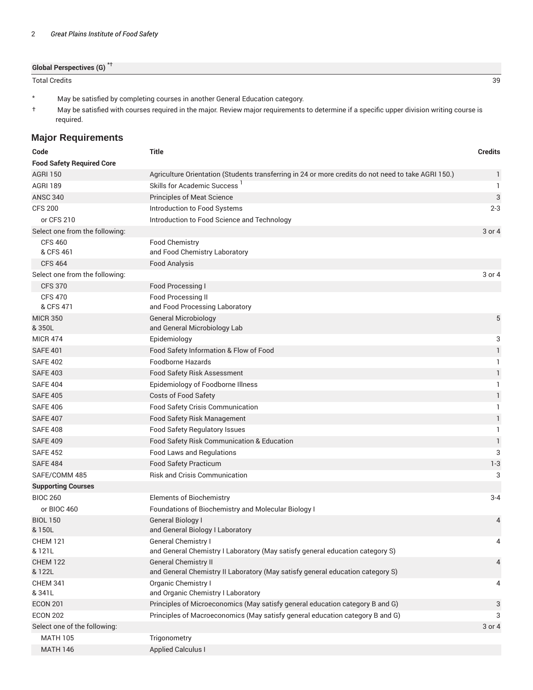| <b>Global Perspectives (G)</b> <sup>*†</sup> |  |  |
|----------------------------------------------|--|--|
|                                              |  |  |
|                                              |  |  |

Total Credits 39

- \* May be satisfied by completing courses in another General Education category.
- † May be satisfied with courses required in the major. Review major requirements to determine if a specific upper division writing course is required.

## **Major Requirements**

| Code                             | <b>Title</b>                                                                                                  | <b>Credits</b> |
|----------------------------------|---------------------------------------------------------------------------------------------------------------|----------------|
| <b>Food Safety Required Core</b> |                                                                                                               |                |
| <b>AGRI 150</b>                  | Agriculture Orientation (Students transferring in 24 or more credits do not need to take AGRI 150.)           | $\mathbf{1}$   |
| <b>AGRI 189</b>                  | Skills for Academic Success '                                                                                 | 1              |
| <b>ANSC 340</b>                  | <b>Principles of Meat Science</b>                                                                             | 3              |
| <b>CFS 200</b>                   | Introduction to Food Systems                                                                                  | $2 - 3$        |
| or CFS 210                       | Introduction to Food Science and Technology                                                                   |                |
| Select one from the following:   |                                                                                                               | 3 or 4         |
| <b>CFS 460</b>                   | Food Chemistry                                                                                                |                |
| & CFS 461                        | and Food Chemistry Laboratory                                                                                 |                |
| <b>CFS 464</b>                   | <b>Food Analysis</b>                                                                                          |                |
| Select one from the following:   |                                                                                                               | 3 or 4         |
| <b>CFS 370</b>                   | Food Processing I                                                                                             |                |
| <b>CFS 470</b><br>& CFS 471      | Food Processing II<br>and Food Processing Laboratory                                                          |                |
| <b>MICR 350</b><br>& 350L        | <b>General Microbiology</b><br>and General Microbiology Lab                                                   | 5              |
| <b>MICR 474</b>                  | Epidemiology                                                                                                  | 3              |
| <b>SAFE 401</b>                  | Food Safety Information & Flow of Food                                                                        | $\mathbf{1}$   |
| <b>SAFE 402</b>                  | <b>Foodborne Hazards</b>                                                                                      | 1              |
| <b>SAFE 403</b>                  | <b>Food Safety Risk Assessment</b>                                                                            | $\mathbf{1}$   |
| <b>SAFE 404</b>                  | Epidemiology of Foodborne Illness                                                                             | 1              |
| <b>SAFE 405</b>                  | Costs of Food Safety                                                                                          | 1              |
| <b>SAFE 406</b>                  | Food Safety Crisis Communication                                                                              | 1              |
| <b>SAFE 407</b>                  | Food Safety Risk Management                                                                                   | 1              |
| <b>SAFE 408</b>                  | Food Safety Regulatory Issues                                                                                 | 1              |
| <b>SAFE 409</b>                  | Food Safety Risk Communication & Education                                                                    | $\mathbf{1}$   |
| <b>SAFE 452</b>                  | Food Laws and Regulations                                                                                     | 3              |
| <b>SAFE 484</b>                  | Food Safety Practicum                                                                                         | $1 - 3$        |
| SAFE/COMM 485                    | <b>Risk and Crisis Communication</b>                                                                          | 3              |
| <b>Supporting Courses</b>        |                                                                                                               |                |
| <b>BIOC 260</b>                  | <b>Elements of Biochemistry</b>                                                                               | $3 - 4$        |
| or BIOC 460                      | Foundations of Biochemistry and Molecular Biology I                                                           |                |
| <b>BIOL 150</b><br>& 150L        | General Biology I<br>and General Biology I Laboratory                                                         | $\overline{4}$ |
| <b>CHEM 121</b>                  | General Chemistry I                                                                                           | 4              |
| & 121L                           | and General Chemistry I Laboratory (May satisfy general education category S)                                 |                |
| <b>CHEM 122</b><br>& 122L        | <b>General Chemistry II</b><br>and General Chemistry II Laboratory (May satisfy general education category S) | 4              |
| <b>CHEM 341</b>                  | Organic Chemistry I                                                                                           | 4              |
| & 341L                           | and Organic Chemistry I Laboratory                                                                            |                |
| <b>ECON 201</b>                  | Principles of Microeconomics (May satisfy general education category B and G)                                 | 3              |
| <b>ECON 202</b>                  | Principles of Macroeconomics (May satisfy general education category B and G)                                 | 3              |
| Select one of the following:     |                                                                                                               | 3 or 4         |
| <b>MATH 105</b>                  | Trigonometry                                                                                                  |                |
| <b>MATH 146</b>                  | <b>Applied Calculus I</b>                                                                                     |                |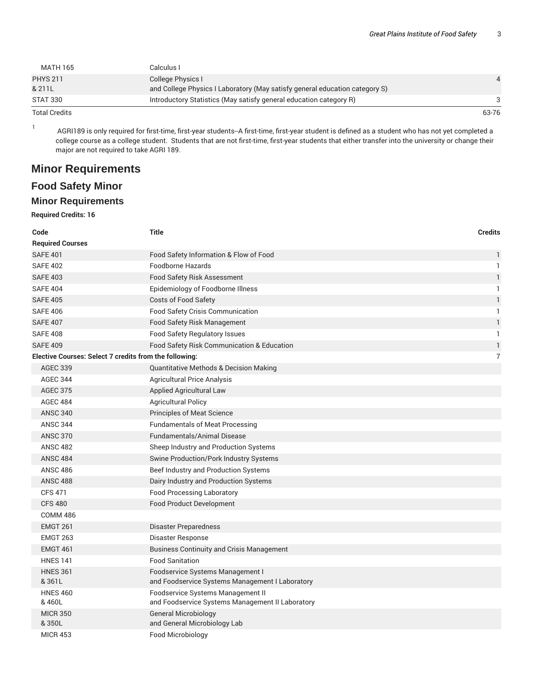| <b>MATH 165</b>           | Calculus I                                                                                       |       |
|---------------------------|--------------------------------------------------------------------------------------------------|-------|
| <b>PHYS 211</b><br>& 211L | College Physics I<br>and College Physics I Laboratory (May satisfy general education category S) |       |
| <b>STAT 330</b>           | Introductory Statistics (May satisfy general education category R)                               |       |
| <b>Total Credits</b>      |                                                                                                  | 63-76 |

1 AGRI189 is only required for first-time, first-year students--A first-time, first-year student is defined as a student who has not yet completed a college course as a college student. Students that are not first-time, first-year students that either transfer into the university or change their major are not required to take AGRI 189.

## **Minor Requirements**

## **Food Safety Minor**

#### **Minor Requirements**

#### **Required Credits: 16**

| Code                                                          | <b>Title</b>                                                                          | <b>Credits</b> |
|---------------------------------------------------------------|---------------------------------------------------------------------------------------|----------------|
| <b>Required Courses</b>                                       |                                                                                       |                |
| <b>SAFE 401</b>                                               | Food Safety Information & Flow of Food                                                | 1              |
| <b>SAFE 402</b>                                               | <b>Foodborne Hazards</b>                                                              | $\mathbf{1}$   |
| <b>SAFE 403</b>                                               | <b>Food Safety Risk Assessment</b>                                                    | $\mathbf{1}$   |
| <b>SAFE 404</b>                                               | Epidemiology of Foodborne Illness                                                     | $\mathbf{1}$   |
| <b>SAFE 405</b>                                               | Costs of Food Safety                                                                  | $\mathbf{1}$   |
| <b>SAFE 406</b>                                               | Food Safety Crisis Communication                                                      | 1              |
| <b>SAFE 407</b>                                               | Food Safety Risk Management                                                           | $\mathbf{1}$   |
| <b>SAFE 408</b>                                               | Food Safety Regulatory Issues                                                         | $\mathbf{1}$   |
| <b>SAFE 409</b>                                               | Food Safety Risk Communication & Education                                            | $\mathbf{1}$   |
| <b>Elective Courses: Select 7 credits from the following:</b> |                                                                                       | $\overline{7}$ |
| <b>AGEC 339</b>                                               | Quantitative Methods & Decision Making                                                |                |
| <b>AGEC 344</b>                                               | <b>Agricultural Price Analysis</b>                                                    |                |
| <b>AGEC 375</b>                                               | Applied Agricultural Law                                                              |                |
| <b>AGEC 484</b>                                               | <b>Agricultural Policy</b>                                                            |                |
| <b>ANSC 340</b>                                               | <b>Principles of Meat Science</b>                                                     |                |
| <b>ANSC 344</b>                                               | <b>Fundamentals of Meat Processing</b>                                                |                |
| <b>ANSC 370</b>                                               | <b>Fundamentals/Animal Disease</b>                                                    |                |
| <b>ANSC 482</b>                                               | Sheep Industry and Production Systems                                                 |                |
| <b>ANSC 484</b>                                               | Swine Production/Pork Industry Systems                                                |                |
| <b>ANSC 486</b>                                               | Beef Industry and Production Systems                                                  |                |
| <b>ANSC 488</b>                                               | Dairy Industry and Production Systems                                                 |                |
| <b>CFS 471</b>                                                | <b>Food Processing Laboratory</b>                                                     |                |
| <b>CFS 480</b>                                                | Food Product Development                                                              |                |
| <b>COMM 486</b>                                               |                                                                                       |                |
| <b>EMGT 261</b>                                               | <b>Disaster Preparedness</b>                                                          |                |
| <b>EMGT 263</b>                                               | Disaster Response                                                                     |                |
| <b>EMGT 461</b>                                               | <b>Business Continuity and Crisis Management</b>                                      |                |
| <b>HNES 141</b>                                               | <b>Food Sanitation</b>                                                                |                |
| <b>HNES 361</b><br>&361L                                      | Foodservice Systems Management I<br>and Foodservice Systems Management I Laboratory   |                |
| <b>HNES 460</b><br>& 460L                                     | Foodservice Systems Management II<br>and Foodservice Systems Management II Laboratory |                |
| <b>MICR 350</b><br>& 350L                                     | <b>General Microbiology</b><br>and General Microbiology Lab                           |                |
| <b>MICR 453</b>                                               | Food Microbiology                                                                     |                |